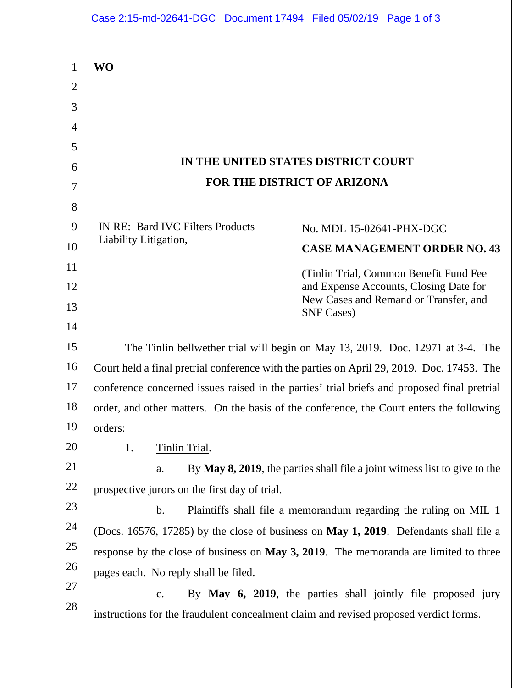|                                         | Case 2:15-md-02641-DGC Document 17494 Filed 05/02/19 Page 1 of 3                                                                                                                          |                                                                                 |
|-----------------------------------------|-------------------------------------------------------------------------------------------------------------------------------------------------------------------------------------------|---------------------------------------------------------------------------------|
| $\mathbf 1$<br>$\overline{2}$<br>3<br>4 | <b>WO</b>                                                                                                                                                                                 |                                                                                 |
| 5                                       |                                                                                                                                                                                           |                                                                                 |
| 6                                       | IN THE UNITED STATES DISTRICT COURT                                                                                                                                                       |                                                                                 |
| 7                                       | FOR THE DISTRICT OF ARIZONA                                                                                                                                                               |                                                                                 |
| 8                                       |                                                                                                                                                                                           |                                                                                 |
| 9                                       | <b>IN RE: Bard IVC Filters Products</b>                                                                                                                                                   | No. MDL 15-02641-PHX-DGC                                                        |
| 10                                      | Liability Litigation,                                                                                                                                                                     | <b>CASE MANAGEMENT ORDER NO. 43</b>                                             |
| 11                                      |                                                                                                                                                                                           | (Tinlin Trial, Common Benefit Fund Fee                                          |
| 12                                      |                                                                                                                                                                                           | and Expense Accounts, Closing Date for<br>New Cases and Remand or Transfer, and |
| 13                                      |                                                                                                                                                                                           | <b>SNF Cases</b> )                                                              |
| 14                                      |                                                                                                                                                                                           |                                                                                 |
| 15                                      | The Tinlin bellwether trial will begin on May 13, 2019. Doc. 12971 at 3-4. The                                                                                                            |                                                                                 |
| 16<br>17                                | Court held a final pretrial conference with the parties on April 29, 2019. Doc. 17453. The<br>conference concerned issues raised in the parties' trial briefs and proposed final pretrial |                                                                                 |
| 18                                      | order, and other matters. On the basis of the conference, the Court enters the following                                                                                                  |                                                                                 |
| 19                                      | orders:                                                                                                                                                                                   |                                                                                 |
| 20                                      | 1.<br>Tinlin Trial.                                                                                                                                                                       |                                                                                 |
| 21                                      | By May 8, 2019, the parties shall file a joint witness list to give to the<br>a.                                                                                                          |                                                                                 |
| 22                                      | prospective jurors on the first day of trial.                                                                                                                                             |                                                                                 |
| 23                                      | b.<br>Plaintiffs shall file a memorandum regarding the ruling on MIL 1                                                                                                                    |                                                                                 |
| 24                                      | (Docs. 16576, 17285) by the close of business on May 1, 2019. Defendants shall file a                                                                                                     |                                                                                 |
| 25                                      | response by the close of business on May 3, 2019. The memoranda are limited to three                                                                                                      |                                                                                 |
| 26                                      | pages each. No reply shall be filed.                                                                                                                                                      |                                                                                 |
| 27                                      | By May 6, 2019, the parties shall jointly file proposed jury<br>c.                                                                                                                        |                                                                                 |
| 28                                      | instructions for the fraudulent concealment claim and revised proposed verdict forms.                                                                                                     |                                                                                 |
|                                         |                                                                                                                                                                                           |                                                                                 |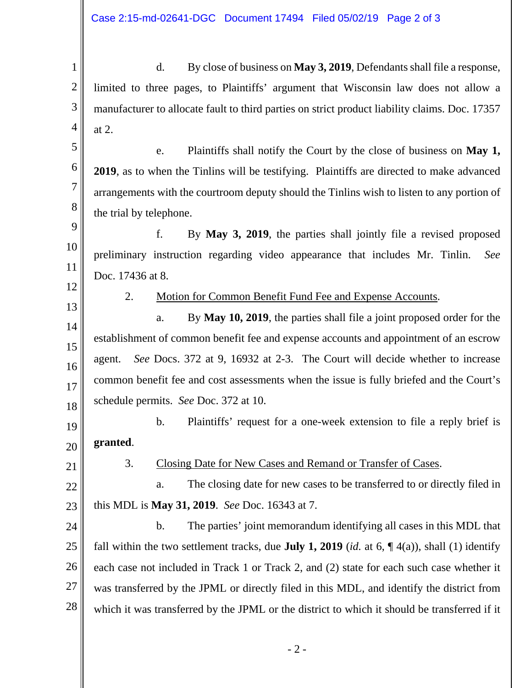d. By close of business on **May 3, 2019**, Defendants shall file a response, limited to three pages, to Plaintiffs' argument that Wisconsin law does not allow a manufacturer to allocate fault to third parties on strict product liability claims. Doc. 17357 at 2.

e. Plaintiffs shall notify the Court by the close of business on **May 1, 2019**, as to when the Tinlins will be testifying. Plaintiffs are directed to make advanced arrangements with the courtroom deputy should the Tinlins wish to listen to any portion of the trial by telephone.

 f. By **May 3, 2019**, the parties shall jointly file a revised proposed preliminary instruction regarding video appearance that includes Mr. Tinlin. *See*  Doc. 17436 at 8.

12 13

14

15

16

17

18

1

2

3

4

5

6

7

8

9

10

11

2. Motion for Common Benefit Fund Fee and Expense Accounts.

 a. By **May 10, 2019**, the parties shall file a joint proposed order for the establishment of common benefit fee and expense accounts and appointment of an escrow agent. *See* Docs. 372 at 9, 16932 at 2-3. The Court will decide whether to increase common benefit fee and cost assessments when the issue is fully briefed and the Court's schedule permits. *See* Doc. 372 at 10.

19 20 b. Plaintiffs' request for a one-week extension to file a reply brief is **granted**.

21

## 3. Closing Date for New Cases and Remand or Transfer of Cases.

22 23 a. The closing date for new cases to be transferred to or directly filed in this MDL is **May 31, 2019**. *See* Doc. 16343 at 7.

24 25 26 27 28 b. The parties' joint memorandum identifying all cases in this MDL that fall within the two settlement tracks, due **July 1, 2019** (*id.* at 6,  $\P$  4(a)), shall (1) identify each case not included in Track 1 or Track 2, and (2) state for each such case whether it was transferred by the JPML or directly filed in this MDL, and identify the district from which it was transferred by the JPML or the district to which it should be transferred if it